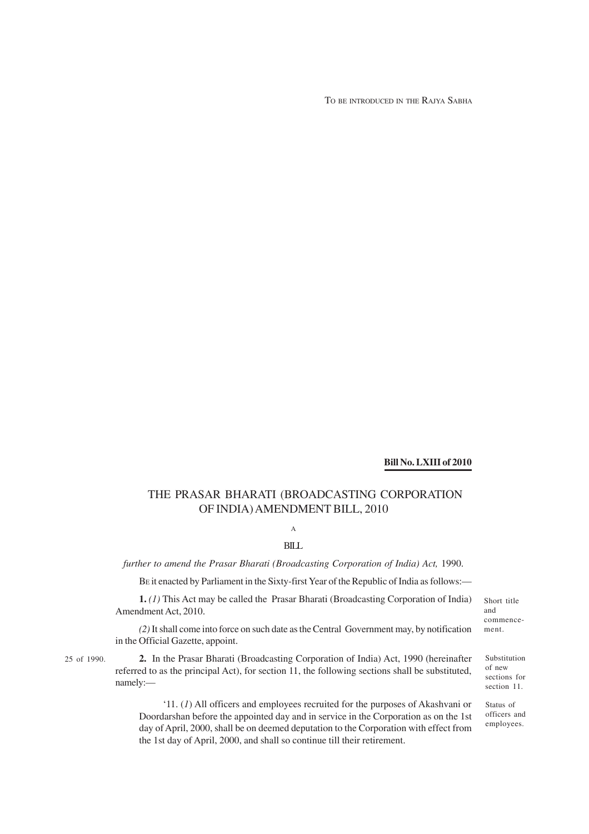TO BE INTRODUCED IN THE RAJYA SABHA

#### **Bill No. LXIII of 2010**

### THE PRASAR BHARATI (BROADCASTING CORPORATION OF INDIA) AMENDMENT BILL, 2010

# A

BILL

*further to amend the Prasar Bharati (Broadcasting Corporation of India) Act,* 1990.

BE it enacted by Parliament in the Sixty-first Year of the Republic of India as follows:—

**1.** *(1)* This Act may be called the Prasar Bharati (Broadcasting Corporation of India) Amendment Act, 2010.

*(2)* It shall come into force on such date as the Central Government may, by notification in the Official Gazette, appoint.

25 of 1990.

**2.** In the Prasar Bharati (Broadcasting Corporation of India) Act, 1990 (hereinafter referred to as the principal Act), for section 11, the following sections shall be substituted, namely:—

'11. (*1*) All officers and employees recruited for the purposes of Akashvani or Doordarshan before the appointed day and in service in the Corporation as on the 1st day of April, 2000, shall be on deemed deputation to the Corporation with effect from the 1st day of April, 2000, and shall so continue till their retirement.

Short title and commencement.

Substitution of new sections for section 11.

Status of officers and employees.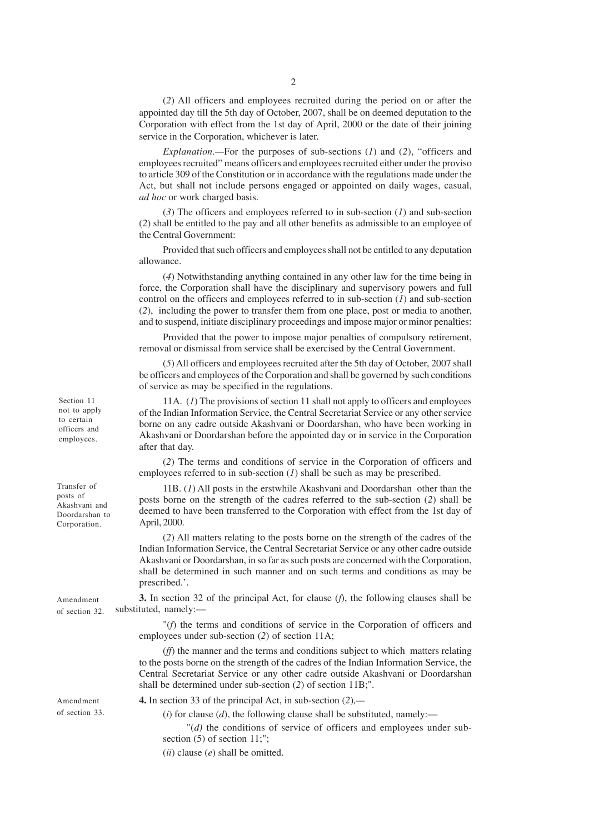(*2*) All officers and employees recruited during the period on or after the appointed day till the 5th day of October, 2007, shall be on deemed deputation to the Corporation with effect from the 1st day of April, 2000 or the date of their joining service in the Corporation, whichever is later.

*Explanation.—*For the purposes of sub-sections (*1*) and (*2*), "officers and employees recruited" means officers and employees recruited either under the proviso to article 309 of the Constitution or in accordance with the regulations made under the Act, but shall not include persons engaged or appointed on daily wages, casual, *ad hoc* or work charged basis.

(*3*) The officers and employees referred to in sub-section (*1*) and sub-section (*2*) shall be entitled to the pay and all other benefits as admissible to an employee of the Central Government:

Provided that such officers and employees shall not be entitled to any deputation allowance.

(*4*) Notwithstanding anything contained in any other law for the time being in force, the Corporation shall have the disciplinary and supervisory powers and full control on the officers and employees referred to in sub-section (*1*) and sub-section (*2*), including the power to transfer them from one place, post or media to another, and to suspend, initiate disciplinary proceedings and impose major or minor penalties:

Provided that the power to impose major penalties of compulsory retirement, removal or dismissal from service shall be exercised by the Central Government.

(*5*) All officers and employees recruited after the 5th day of October, 2007 shall be officers and employees of the Corporation and shall be governed by such conditions of service as may be specified in the regulations.

11A. (*1*) The provisions of section 11 shall not apply to officers and employees of the Indian Information Service, the Central Secretariat Service or any other service borne on any cadre outside Akashvani or Doordarshan, who have been working in Akashvani or Doordarshan before the appointed day or in service in the Corporation after that day.

(*2*) The terms and conditions of service in the Corporation of officers and employees referred to in sub-section (*1*) shall be such as may be prescribed.

11B. (*1*) All posts in the erstwhile Akashvani and Doordarshan other than the posts borne on the strength of the cadres referred to the sub-section (*2*) shall be deemed to have been transferred to the Corporation with effect from the 1st day of April, 2000.

(*2*) All matters relating to the posts borne on the strength of the cadres of the Indian Information Service, the Central Secretariat Service or any other cadre outside Akashvani or Doordarshan, in so far as such posts are concerned with the Corporation, shall be determined in such manner and on such terms and conditions as may be prescribed.'.

**3.** In section 32 of the principal Act, for clause (*f*), the following clauses shall be substituted, namely:—

"(*f*) the terms and conditions of service in the Corporation of officers and employees under sub-section (*2*) of section 11A;

(*ff*) the manner and the terms and conditions subject to which matters relating to the posts borne on the strength of the cadres of the Indian Information Service, the Central Secretariat Service or any other cadre outside Akashvani or Doordarshan shall be determined under sub-section (*2*) of section 11B;".

**4.** In section 33 of the principal Act, in sub-section (*2*)*,—*

 $(i)$  for clause  $(d)$ , the following clause shall be substituted, namely:—

"(*d)* the conditions of service of officers and employees under subsection (5) of section 11;";

(*ii*) clause (*e*) shall be omitted.

Section 11 not to apply to certain officers and employees.

Transfer of posts of Akashvani and Doordarshan to Corporation.

Amendment of section 33.

Amendment of section 32.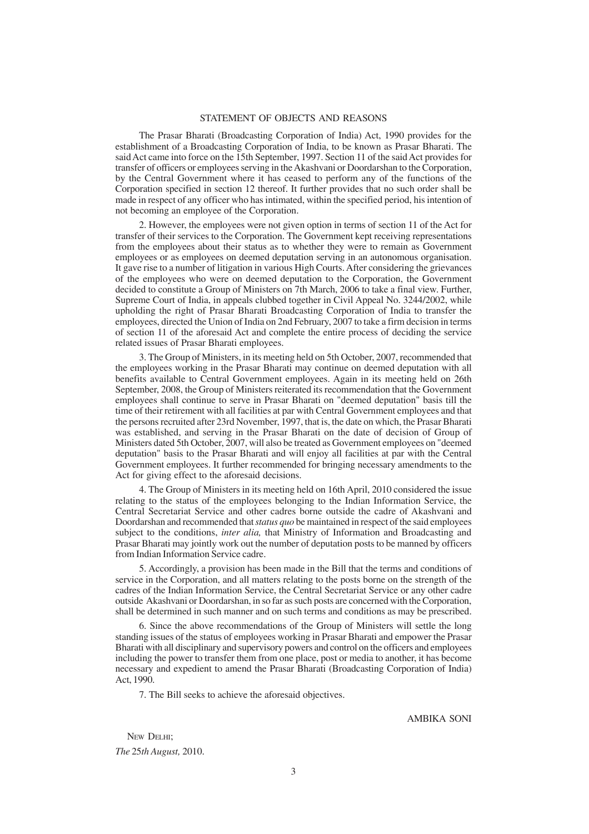#### STATEMENT OF OBJECTS AND REASONS

The Prasar Bharati (Broadcasting Corporation of India) Act, 1990 provides for the establishment of a Broadcasting Corporation of India, to be known as Prasar Bharati. The said Act came into force on the 15th September, 1997. Section 11 of the said Act provides for transfer of officers or employees serving in the Akashvani or Doordarshan to the Corporation, by the Central Government where it has ceased to perform any of the functions of the Corporation specified in section 12 thereof. It further provides that no such order shall be made in respect of any officer who has intimated, within the specified period, his intention of not becoming an employee of the Corporation.

2. However, the employees were not given option in terms of section 11 of the Act for transfer of their services to the Corporation. The Government kept receiving representations from the employees about their status as to whether they were to remain as Government employees or as employees on deemed deputation serving in an autonomous organisation. It gave rise to a number of litigation in various High Courts. After considering the grievances of the employees who were on deemed deputation to the Corporation, the Government decided to constitute a Group of Ministers on 7th March, 2006 to take a final view. Further, Supreme Court of India, in appeals clubbed together in Civil Appeal No. 3244/2002, while upholding the right of Prasar Bharati Broadcasting Corporation of India to transfer the employees, directed the Union of India on 2nd February, 2007 to take a firm decision in terms of section 11 of the aforesaid Act and complete the entire process of deciding the service related issues of Prasar Bharati employees.

3. The Group of Ministers, in its meeting held on 5th October, 2007, recommended that the employees working in the Prasar Bharati may continue on deemed deputation with all benefits available to Central Government employees. Again in its meeting held on 26th September, 2008, the Group of Ministers reiterated its recommendation that the Government employees shall continue to serve in Prasar Bharati on "deemed deputation" basis till the time of their retirement with all facilities at par with Central Government employees and that the persons recruited after 23rd November, 1997, that is, the date on which, the Prasar Bharati was established, and serving in the Prasar Bharati on the date of decision of Group of Ministers dated 5th October, 2007, will also be treated as Government employees on "deemed deputation" basis to the Prasar Bharati and will enjoy all facilities at par with the Central Government employees. It further recommended for bringing necessary amendments to the Act for giving effect to the aforesaid decisions.

4. The Group of Ministers in its meeting held on 16th April, 2010 considered the issue relating to the status of the employees belonging to the Indian Information Service, the Central Secretariat Service and other cadres borne outside the cadre of Akashvani and Doordarshan and recommended that *status quo* be maintained in respect of the said employees subject to the conditions, *inter alia,* that Ministry of Information and Broadcasting and Prasar Bharati may jointly work out the number of deputation posts to be manned by officers from Indian Information Service cadre.

5. Accordingly, a provision has been made in the Bill that the terms and conditions of service in the Corporation, and all matters relating to the posts borne on the strength of the cadres of the Indian Information Service, the Central Secretariat Service or any other cadre outside Akashvani or Doordarshan, in so far as such posts are concerned with the Corporation, shall be determined in such manner and on such terms and conditions as may be prescribed.

6. Since the above recommendations of the Group of Ministers will settle the long standing issues of the status of employees working in Prasar Bharati and empower the Prasar Bharati with all disciplinary and supervisory powers and control on the officers and employees including the power to transfer them from one place, post or media to another, it has become necessary and expedient to amend the Prasar Bharati (Broadcasting Corporation of India) Act, 1990.

7. The Bill seeks to achieve the aforesaid objectives.

AMBIKA SONI

NEW DELHI: *The* 25*th August,* 2010.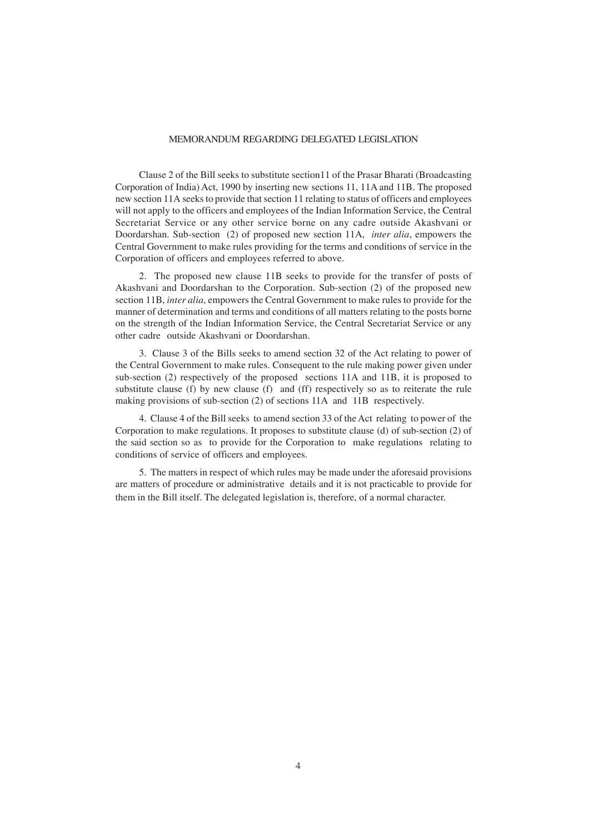#### MEMORANDUM REGARDING DELEGATED LEGISLATION

Clause 2 of the Bill seeks to substitute section11 of the Prasar Bharati (Broadcasting Corporation of India) Act, 1990 by inserting new sections 11, 11A and 11B. The proposed new section 11A seeks to provide that section 11 relating to status of officers and employees will not apply to the officers and employees of the Indian Information Service, the Central Secretariat Service or any other service borne on any cadre outside Akashvani or Doordarshan. Sub-section (2) of proposed new section 11A, *inter alia*, empowers the Central Government to make rules providing for the terms and conditions of service in the Corporation of officers and employees referred to above.

2. The proposed new clause 11B seeks to provide for the transfer of posts of Akashvani and Doordarshan to the Corporation. Sub-section (2) of the proposed new section 11B, *inter alia*, empowers the Central Government to make rules to provide for the manner of determination and terms and conditions of all matters relating to the posts borne on the strength of the Indian Information Service, the Central Secretariat Service or any other cadre outside Akashvani or Doordarshan.

3. Clause 3 of the Bills seeks to amend section 32 of the Act relating to power of the Central Government to make rules. Consequent to the rule making power given under sub-section (2) respectively of the proposed sections 11A and 11B, it is proposed to substitute clause (f) by new clause (f) and (ff) respectively so as to reiterate the rule making provisions of sub-section (2) of sections 11A and 11B respectively.

4. Clause 4 of the Bill seeks to amend section 33 of the Act relating to power of the Corporation to make regulations. It proposes to substitute clause (d) of sub-section (2) of the said section so as to provide for the Corporation to make regulations relating to conditions of service of officers and employees.

5. The matters in respect of which rules may be made under the aforesaid provisions are matters of procedure or administrative details and it is not practicable to provide for them in the Bill itself. The delegated legislation is, therefore, of a normal character.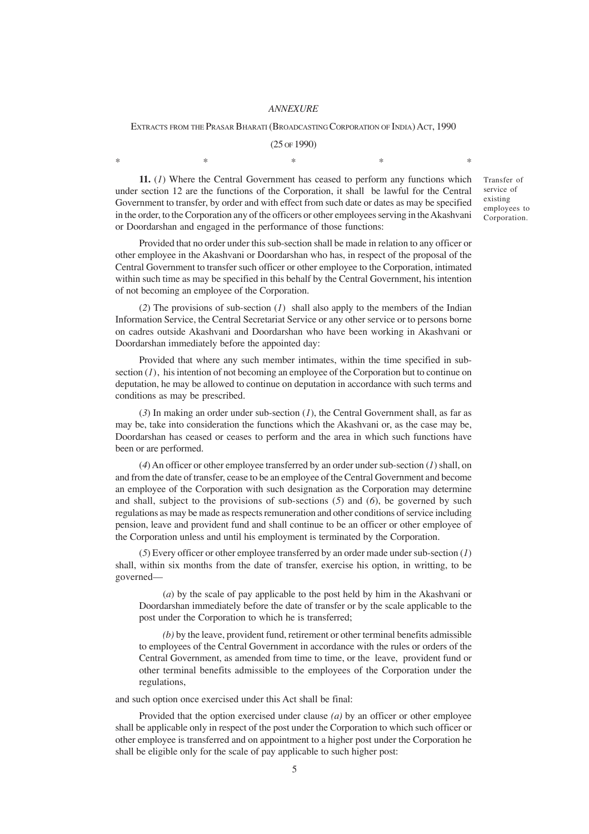#### *ANNEXURE*

#### EXTRACTS FROM THE PRASAR BHARATI (BROADCASTING CORPORATION OF INDIA) ACT, 1990

(25 OF 1990)  $*$  and  $*$  and  $*$  and  $*$  and  $*$  and  $*$ 

**11.** (*1*) Where the Central Government has ceased to perform any functions which under section 12 are the functions of the Corporation, it shall be lawful for the Central Government to transfer, by order and with effect from such date or dates as may be specified in the order, to the Corporation any of the officers or other employees serving in the Akashvani or Doordarshan and engaged in the performance of those functions:

Provided that no order under this sub-section shall be made in relation to any officer or other employee in the Akashvani or Doordarshan who has, in respect of the proposal of the Central Government to transfer such officer or other employee to the Corporation, intimated within such time as may be specified in this behalf by the Central Government, his intention of not becoming an employee of the Corporation.

(*2*) The provisions of sub-section (*1*) shall also apply to the members of the Indian Information Service, the Central Secretariat Service or any other service or to persons borne on cadres outside Akashvani and Doordarshan who have been working in Akashvani or Doordarshan immediately before the appointed day:

Provided that where any such member intimates, within the time specified in subsection  $(1)$ , his intention of not becoming an employee of the Corporation but to continue on deputation, he may be allowed to continue on deputation in accordance with such terms and conditions as may be prescribed.

(*3*) In making an order under sub-section (*1*), the Central Government shall, as far as may be, take into consideration the functions which the Akashvani or, as the case may be, Doordarshan has ceased or ceases to perform and the area in which such functions have been or are performed.

(*4*) An officer or other employee transferred by an order under sub-section (*1*) shall, on and from the date of transfer, cease to be an employee of the Central Government and become an employee of the Corporation with such designation as the Corporation may determine and shall, subject to the provisions of sub-sections (*5*) and (*6*), be governed by such regulations as may be made as respects remuneration and other conditions of service including pension, leave and provident fund and shall continue to be an officer or other employee of the Corporation unless and until his employment is terminated by the Corporation.

(*5*) Every officer or other employee transferred by an order made under sub-section (*1*) shall, within six months from the date of transfer, exercise his option, in writting, to be governed—

(*a*) by the scale of pay applicable to the post held by him in the Akashvani or Doordarshan immediately before the date of transfer or by the scale applicable to the post under the Corporation to which he is transferred;

*(b)* by the leave, provident fund, retirement or other terminal benefits admissible to employees of the Central Government in accordance with the rules or orders of the Central Government, as amended from time to time, or the leave, provident fund or other terminal benefits admissible to the employees of the Corporation under the regulations,

and such option once exercised under this Act shall be final:

Provided that the option exercised under clause *(a)* by an officer or other employee shall be applicable only in respect of the post under the Corporation to which such officer or other employee is transferred and on appointment to a higher post under the Corporation he shall be eligible only for the scale of pay applicable to such higher post:

Transfer of service of existing employees to Corporation.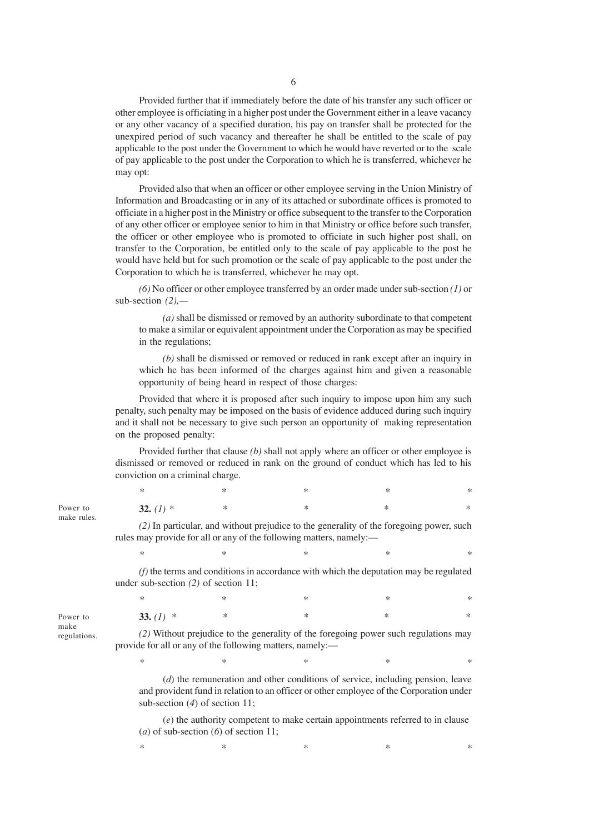Provided further that if immediately before the date of his transfer any such officer or other employee is officiating in a higher post under the Government either in a leave vacancy or any other vacancy of a specified duration, his pay on transfer shall be protected for the unexpired period of such vacancy and thereafter he shall be entitled to the scale of pay applicable to the post under the Government to which he would have reverted or to the scale of pay applicable to the post under the Corporation to which he is transferred, whichever he may opt:

Provided also that when an officer or other employee serving in the Union Ministry of Information and Broadcasting or in any of its attached or subordinate offices is promoted to officiate in a higher post in the Ministry or office subsequent to the transfer to the Corporation of any other officer or employee senior to him in that Ministry or office before such transfer, the officer or other employee who is promoted to officiate in such higher post shall, on transfer to the Corporation, be entitled only to the scale of pay applicable to the post he would have held but for such promotion or the scale of pay applicable to the post under the Corporation to which he is transferred, whichever he may opt.

*(6)* No officer or other employee transferred by an order made under sub-section *(1)* or sub-section *(2),—*

*(a)* shall be dismissed or removed by an authority subordinate to that competent to make a similar or equivalent appointment under the Corporation as may be specified in the regulations;

*(b)* shall be dismissed or removed or reduced in rank except after an inquiry in which he has been informed of the charges against him and given a reasonable opportunity of being heard in respect of those charges:

Provided that where it is proposed after such inquiry to impose upon him any such penalty, such penalty may be imposed on the basis of evidence adduced during such inquiry and it shall not be necessary to give such person an opportunity of making representation on the proposed penalty:

Provided further that clause *(b)* shall not apply where an officer or other employee is dismissed or removed or reduced in rank on the ground of conduct which has led to his conviction on a criminal charge.

|                                                                                                                                                                                                                 | *           | ∗ | ∗ | * | ∗      |
|-----------------------------------------------------------------------------------------------------------------------------------------------------------------------------------------------------------------|-------------|---|---|---|--------|
|                                                                                                                                                                                                                 | 32. $(I)$ * | * | * | ∗ | ∗      |
| (2) In particular, and without prejudice to the generality of the foregoing power, such<br>rules may provide for all or any of the following matters, namely:—                                                  |             |   |   |   |        |
|                                                                                                                                                                                                                 | *           | ∗ | ∗ | * | $\ast$ |
| $(f)$ the terms and conditions in accordance with which the deputation may be regulated<br>under sub-section $(2)$ of section 11;                                                                               |             |   |   |   |        |
|                                                                                                                                                                                                                 | *           | ∗ | ∗ | ∗ | ∗      |
|                                                                                                                                                                                                                 | 33. $(l)$ * | * | ∗ | ∗ | $\ast$ |
| (2) Without prejudice to the generality of the foregoing power such regulations may<br>provide for all or any of the following matters, namely:-                                                                |             |   |   |   |        |
|                                                                                                                                                                                                                 | *           | ∗ | ∗ | * | ∗      |
| $(d)$ the remuneration and other conditions of service, including pension, leave<br>and provident fund in relation to an officer or other employee of the Corporation under<br>sub-section $(4)$ of section 11; |             |   |   |   |        |

(*e*) the authority competent to make certain appointments referred to in clause (*a*) of sub-section (*6*) of section 11;

*\* \* \* \* \**

Power to make rules.

Power to make regulations.